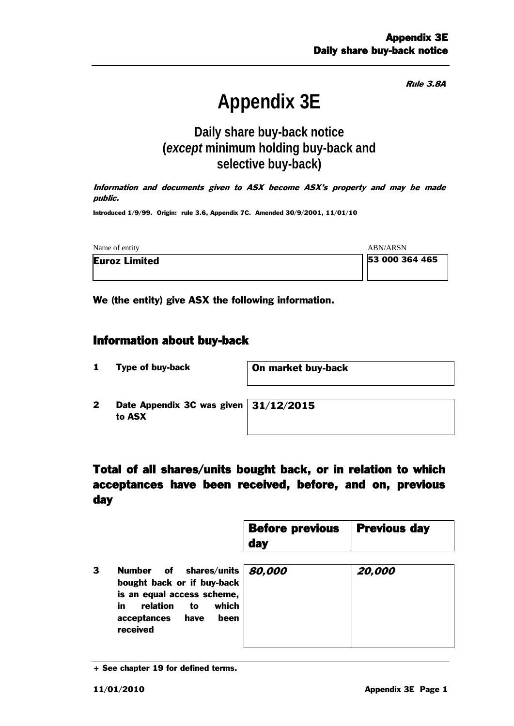Rule 3.8A

# **Appendix 3E**

## **Daily share buy-back notice (***except* **minimum holding buy-back and selective buy-back)**

Information and documents given to ASX become ASX's property and may be made public.

Introduced 1/9/99. Origin: rule 3.6, Appendix 7C. Amended 30/9/2001, 11/01/10

| Name of entity       | ABN/ARSN       |
|----------------------|----------------|
| <b>Euroz Limited</b> | 53 000 364 465 |
|                      |                |

We (the entity) give ASX the following information.

#### Information about buy-back

1 Type of buy-back **On market buy-back** 

2 Date Appendix 3C was given to ASX

31/12/2015

## Total of all shares/units bought back, or in relation to which acceptances have been received, before, and on, previous day

| <b>Before previous</b> | <b>Previous day</b> |
|------------------------|---------------------|
| $\vert$ day            |                     |

3 Number of shares/units bought back or if buy-back is an equal access scheme, in relation to which acceptances have been received 80,000 20,000

<sup>+</sup> See chapter 19 for defined terms.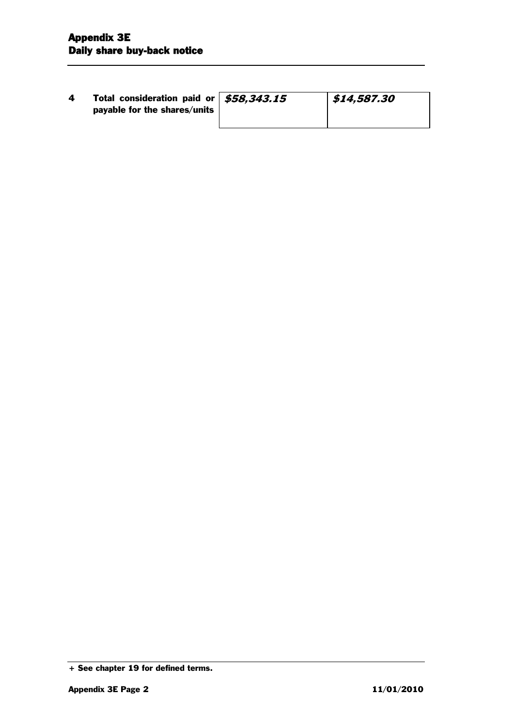| 4 | Total consideration paid or   \$58,343.15<br>payable for the shares/units | \$14,587.30 |
|---|---------------------------------------------------------------------------|-------------|
|   |                                                                           |             |

<sup>+</sup> See chapter 19 for defined terms.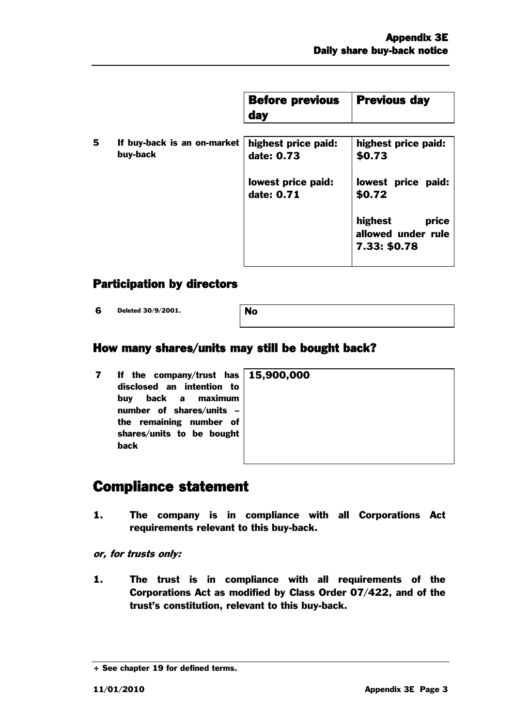|   |                                         | <b>Before previous</b><br><b>day</b> | <b>Previous day</b>                                    |
|---|-----------------------------------------|--------------------------------------|--------------------------------------------------------|
| 5 | If buy-back is an on-market<br>buy-back | highest price paid:<br>date: 0.73    | highest price paid:<br>\$0.73                          |
|   |                                         | lowest price paid:<br>date: 0.71     | lowest price paid:<br>\$0.72                           |
|   |                                         |                                      | highest<br>price<br>allowed under rule<br>7.33: \$0.78 |

### Participation by directors

6 Deleted 30/9/2001. No

#### How many shares/units may still be bought back?

7 If the company/trust has disclosed an intention to buy back a maximum number of shares/units – the remaining number of shares/units to be bought back 15

| ,900,000 |  |  |
|----------|--|--|
|          |  |  |
|          |  |  |
|          |  |  |
|          |  |  |
|          |  |  |

# Compliance statement

1. The company is in compliance with all Corporations Act requirements relevant to this buy-back.

or, for trusts only:

1. The trust is in compliance with all requirements of the Corporations Act as modified by Class Order 07/422, and of the trust's constitution, relevant to this buy-back.

<sup>+</sup> See chapter 19 for defined terms.